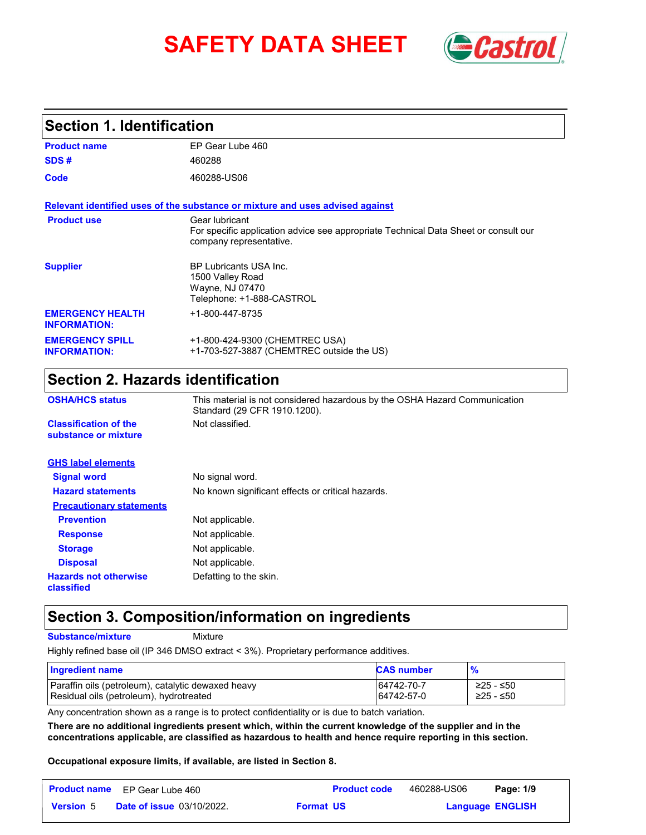# **SAFETY DATA SHEET** *Castrol*



### **Section 1. Identification**

| <b>Product name</b>                            | EP Gear Lube 460                                                                                                                 |
|------------------------------------------------|----------------------------------------------------------------------------------------------------------------------------------|
| SDS#                                           | 460288                                                                                                                           |
| Code                                           | 460288-US06                                                                                                                      |
|                                                | Relevant identified uses of the substance or mixture and uses advised against                                                    |
| <b>Product use</b>                             | Gear lubricant<br>For specific application advice see appropriate Technical Data Sheet or consult our<br>company representative. |
| <b>Supplier</b>                                | <b>BP Lubricants USA Inc.</b><br>1500 Valley Road<br>Wayne, NJ 07470<br>Telephone: +1-888-CASTROL                                |
| <b>EMERGENCY HEALTH</b><br><b>INFORMATION:</b> | +1-800-447-8735                                                                                                                  |
| <b>EMERGENCY SPILL</b><br><b>INFORMATION:</b>  | +1-800-424-9300 (CHEMTREC USA)<br>+1-703-527-3887 (CHEMTREC outside the US)                                                      |

# **Section 2. Hazards identification**

| <b>OSHA/HCS status</b>                               | This material is not considered hazardous by the OSHA Hazard Communication<br>Standard (29 CFR 1910.1200). |  |  |  |
|------------------------------------------------------|------------------------------------------------------------------------------------------------------------|--|--|--|
| <b>Classification of the</b><br>substance or mixture | Not classified.                                                                                            |  |  |  |
| <b>GHS label elements</b>                            |                                                                                                            |  |  |  |
| <b>Signal word</b>                                   | No signal word.                                                                                            |  |  |  |
| <b>Hazard statements</b>                             | No known significant effects or critical hazards.                                                          |  |  |  |
| <b>Precautionary statements</b>                      |                                                                                                            |  |  |  |
| <b>Prevention</b>                                    | Not applicable.                                                                                            |  |  |  |
| <b>Response</b>                                      | Not applicable.                                                                                            |  |  |  |
| <b>Storage</b>                                       | Not applicable.                                                                                            |  |  |  |
| <b>Disposal</b>                                      | Not applicable.                                                                                            |  |  |  |
| <b>Hazards not otherwise</b><br>classified           | Defatting to the skin.                                                                                     |  |  |  |

### **Section 3. Composition/information on ingredients**

**Substance/mixture**

Mixture

Highly refined base oil (IP 346 DMSO extract < 3%). Proprietary performance additives.

| Ingredient name                                    | <b>CAS number</b> | $\frac{9}{6}$ |
|----------------------------------------------------|-------------------|---------------|
| Paraffin oils (petroleum), catalytic dewaxed heavy | 64742-70-7        | ≥25 - ≤50     |
| Residual oils (petroleum), hydrotreated            | 64742-57-0        | ≥25 - ≤50     |

Any concentration shown as a range is to protect confidentiality or is due to batch variation.

**There are no additional ingredients present which, within the current knowledge of the supplier and in the concentrations applicable, are classified as hazardous to health and hence require reporting in this section.**

**Occupational exposure limits, if available, are listed in Section 8.**

|                  | <b>Product name</b> EP Gear Lube 460 |                  | <b>Product code</b> | 460288-US06 | Page: 1/9               |  |
|------------------|--------------------------------------|------------------|---------------------|-------------|-------------------------|--|
| <b>Version</b> 5 | <b>Date of issue 03/10/2022.</b>     | <b>Format US</b> |                     |             | <b>Language ENGLISH</b> |  |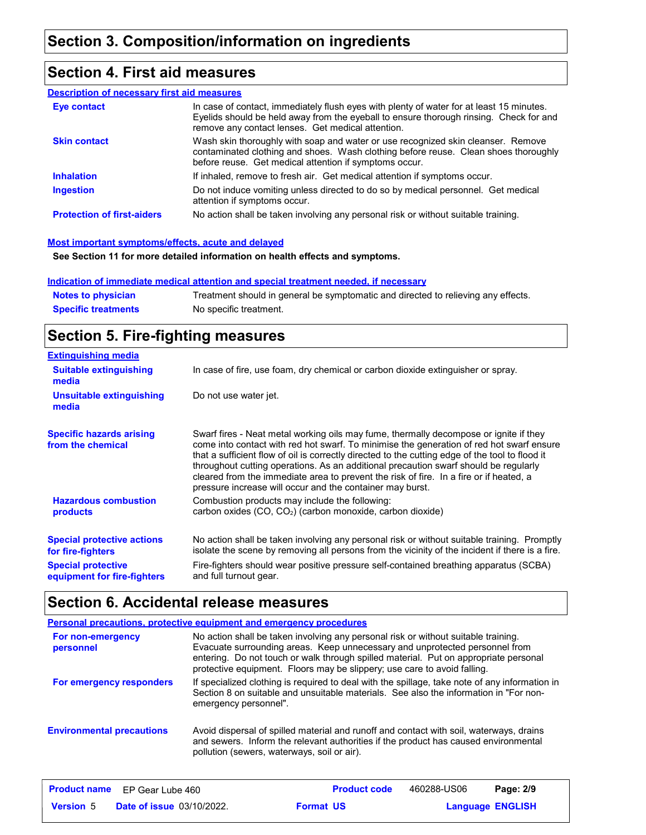### **Section 4. First aid measures**

#### **Description of necessary first aid measures**

| <b>Eye contact</b>                | In case of contact, immediately flush eyes with plenty of water for at least 15 minutes.<br>Eyelids should be held away from the eyeball to ensure thorough rinsing. Check for and<br>remove any contact lenses. Get medical attention. |
|-----------------------------------|-----------------------------------------------------------------------------------------------------------------------------------------------------------------------------------------------------------------------------------------|
| <b>Skin contact</b>               | Wash skin thoroughly with soap and water or use recognized skin cleanser. Remove<br>contaminated clothing and shoes. Wash clothing before reuse. Clean shoes thoroughly<br>before reuse. Get medical attention if symptoms occur.       |
| <b>Inhalation</b>                 | If inhaled, remove to fresh air. Get medical attention if symptoms occur.                                                                                                                                                               |
| <b>Ingestion</b>                  | Do not induce vomiting unless directed to do so by medical personnel. Get medical<br>attention if symptoms occur.                                                                                                                       |
| <b>Protection of first-aiders</b> | No action shall be taken involving any personal risk or without suitable training.                                                                                                                                                      |

#### **Most important symptoms/effects, acute and delayed**

**See Section 11 for more detailed information on health effects and symptoms.**

#### **Indication of immediate medical attention and special treatment needed, if necessary**

| <b>Notes to physician</b>  | Treatment should in general be symptomatic and directed to relieving any effects. |
|----------------------------|-----------------------------------------------------------------------------------|
| <b>Specific treatments</b> | No specific treatment.                                                            |

### **Section 5. Fire-fighting measures**

| <b>Extinguishing media</b>                               |                                                                                                                                                                                                                                                                                                                                                                                                                                                                                                                                     |
|----------------------------------------------------------|-------------------------------------------------------------------------------------------------------------------------------------------------------------------------------------------------------------------------------------------------------------------------------------------------------------------------------------------------------------------------------------------------------------------------------------------------------------------------------------------------------------------------------------|
| <b>Suitable extinguishing</b><br>media                   | In case of fire, use foam, dry chemical or carbon dioxide extinguisher or spray.                                                                                                                                                                                                                                                                                                                                                                                                                                                    |
| <b>Unsuitable extinguishing</b><br>media                 | Do not use water jet.                                                                                                                                                                                                                                                                                                                                                                                                                                                                                                               |
| <b>Specific hazards arising</b><br>from the chemical     | Swarf fires - Neat metal working oils may fume, thermally decompose or ignite if they<br>come into contact with red hot swarf. To minimise the generation of red hot swarf ensure<br>that a sufficient flow of oil is correctly directed to the cutting edge of the tool to flood it<br>throughout cutting operations. As an additional precaution swarf should be regularly<br>cleared from the immediate area to prevent the risk of fire. In a fire or if heated, a<br>pressure increase will occur and the container may burst. |
| <b>Hazardous combustion</b><br>products                  | Combustion products may include the following:<br>carbon oxides (CO, CO <sub>2</sub> ) (carbon monoxide, carbon dioxide)                                                                                                                                                                                                                                                                                                                                                                                                            |
| <b>Special protective actions</b><br>for fire-fighters   | No action shall be taken involving any personal risk or without suitable training. Promptly<br>isolate the scene by removing all persons from the vicinity of the incident if there is a fire.                                                                                                                                                                                                                                                                                                                                      |
| <b>Special protective</b><br>equipment for fire-fighters | Fire-fighters should wear positive pressure self-contained breathing apparatus (SCBA)<br>and full turnout gear.                                                                                                                                                                                                                                                                                                                                                                                                                     |

# **Section 6. Accidental release measures**

|                                  | <b>Personal precautions, protective equipment and emergency procedures</b>                                                                                                                                                                                                                                                            |
|----------------------------------|---------------------------------------------------------------------------------------------------------------------------------------------------------------------------------------------------------------------------------------------------------------------------------------------------------------------------------------|
| For non-emergency<br>personnel   | No action shall be taken involving any personal risk or without suitable training.<br>Evacuate surrounding areas. Keep unnecessary and unprotected personnel from<br>entering. Do not touch or walk through spilled material. Put on appropriate personal<br>protective equipment. Floors may be slippery; use care to avoid falling. |
| For emergency responders         | If specialized clothing is required to deal with the spillage, take note of any information in<br>Section 8 on suitable and unsuitable materials. See also the information in "For non-<br>emergency personnel".                                                                                                                      |
| <b>Environmental precautions</b> | Avoid dispersal of spilled material and runoff and contact with soil, waterways, drains<br>and sewers. Inform the relevant authorities if the product has caused environmental<br>pollution (sewers, waterways, soil or air).                                                                                                         |

|                  | <b>Product name</b> EP Gear Lube 460 |                  | <b>Product code</b> | 460288-US06             | Page: 2/9 |  |
|------------------|--------------------------------------|------------------|---------------------|-------------------------|-----------|--|
| <b>Version 5</b> | <b>Date of issue 03/10/2022.</b>     | <b>Format US</b> |                     | <b>Language ENGLISH</b> |           |  |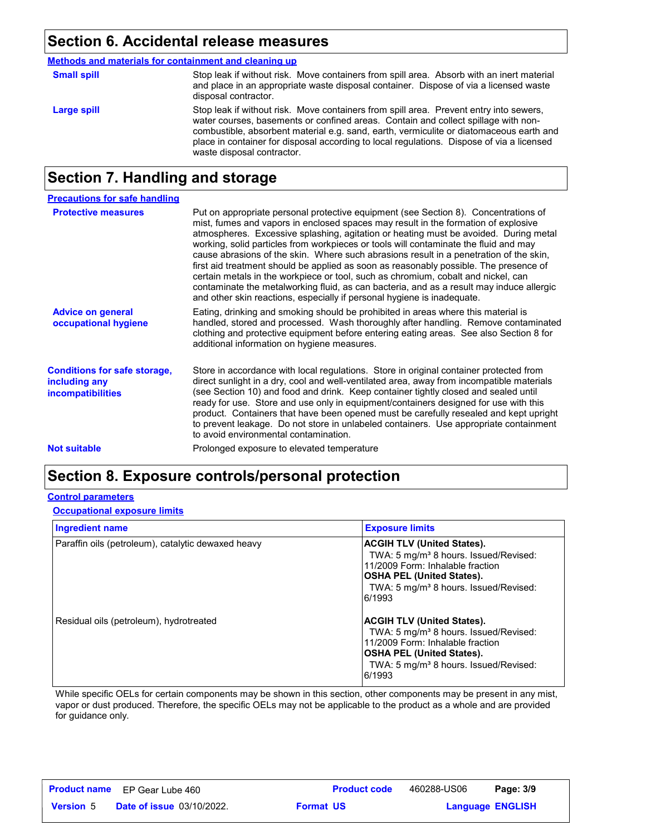### **Section 6. Accidental release measures**

|  | Methods and materials for containment and cleaning up |  |
|--|-------------------------------------------------------|--|
|  |                                                       |  |

| <b>Small spill</b> | Stop leak if without risk. Move containers from spill area. Absorb with an inert material<br>and place in an appropriate waste disposal container. Dispose of via a licensed waste<br>disposal contractor.                                                                                                                                                                                         |
|--------------------|----------------------------------------------------------------------------------------------------------------------------------------------------------------------------------------------------------------------------------------------------------------------------------------------------------------------------------------------------------------------------------------------------|
| Large spill        | Stop leak if without risk. Move containers from spill area. Prevent entry into sewers,<br>water courses, basements or confined areas. Contain and collect spillage with non-<br>combustible, absorbent material e.g. sand, earth, vermiculite or diatomaceous earth and<br>place in container for disposal according to local regulations. Dispose of via a licensed<br>waste disposal contractor. |

# **Section 7. Handling and storage**

| <b>Precautions for safe handling</b>                                             |                                                                                                                                                                                                                                                                                                                                                                                                                                                                                                                                                                                                                                                                                                                                                                                                          |
|----------------------------------------------------------------------------------|----------------------------------------------------------------------------------------------------------------------------------------------------------------------------------------------------------------------------------------------------------------------------------------------------------------------------------------------------------------------------------------------------------------------------------------------------------------------------------------------------------------------------------------------------------------------------------------------------------------------------------------------------------------------------------------------------------------------------------------------------------------------------------------------------------|
| <b>Protective measures</b>                                                       | Put on appropriate personal protective equipment (see Section 8). Concentrations of<br>mist, fumes and vapors in enclosed spaces may result in the formation of explosive<br>atmospheres. Excessive splashing, agitation or heating must be avoided. During metal<br>working, solid particles from workpieces or tools will contaminate the fluid and may<br>cause abrasions of the skin. Where such abrasions result in a penetration of the skin,<br>first aid treatment should be applied as soon as reasonably possible. The presence of<br>certain metals in the workpiece or tool, such as chromium, cobalt and nickel, can<br>contaminate the metalworking fluid, as can bacteria, and as a result may induce allergic<br>and other skin reactions, especially if personal hygiene is inadequate. |
| <b>Advice on general</b><br>occupational hygiene                                 | Eating, drinking and smoking should be prohibited in areas where this material is<br>handled, stored and processed. Wash thoroughly after handling. Remove contaminated<br>clothing and protective equipment before entering eating areas. See also Section 8 for<br>additional information on hygiene measures.                                                                                                                                                                                                                                                                                                                                                                                                                                                                                         |
| <b>Conditions for safe storage,</b><br>including any<br><i>incompatibilities</i> | Store in accordance with local regulations. Store in original container protected from<br>direct sunlight in a dry, cool and well-ventilated area, away from incompatible materials<br>(see Section 10) and food and drink. Keep container tightly closed and sealed until<br>ready for use. Store and use only in equipment/containers designed for use with this<br>product. Containers that have been opened must be carefully resealed and kept upright<br>to prevent leakage. Do not store in unlabeled containers. Use appropriate containment<br>to avoid environmental contamination.                                                                                                                                                                                                            |
| <b>Not suitable</b>                                                              | Prolonged exposure to elevated temperature                                                                                                                                                                                                                                                                                                                                                                                                                                                                                                                                                                                                                                                                                                                                                               |

# **Section 8. Exposure controls/personal protection**

### **Control parameters**

### **Occupational exposure limits**

| <b>Ingredient name</b>                             | <b>Exposure limits</b>                                                                                                                                                                                                  |
|----------------------------------------------------|-------------------------------------------------------------------------------------------------------------------------------------------------------------------------------------------------------------------------|
| Paraffin oils (petroleum), catalytic dewaxed heavy | <b>ACGIH TLV (United States).</b><br>TWA: 5 mg/m <sup>3</sup> 8 hours. Issued/Revised:<br>11/2009 Form: Inhalable fraction<br> OSHA PEL (United States).<br>TWA: 5 mg/m <sup>3</sup> 8 hours. Issued/Revised:<br>6/1993 |
| Residual oils (petroleum), hydrotreated            | ACGIH TLV (United States).<br>TWA: 5 mg/m <sup>3</sup> 8 hours. Issued/Revised:<br>11/2009 Form: Inhalable fraction<br> OSHA PEL (United States).<br>TWA: 5 mg/m <sup>3</sup> 8 hours. Issued/Revised:<br>6/1993        |

While specific OELs for certain components may be shown in this section, other components may be present in any mist, vapor or dust produced. Therefore, the specific OELs may not be applicable to the product as a whole and are provided for guidance only.

|                  | <b>Product name</b> EP Gear Lube 460 |                  | <b>Product code</b> | 460288-US06             | Page: 3/9 |  |
|------------------|--------------------------------------|------------------|---------------------|-------------------------|-----------|--|
| <b>Version 5</b> | <b>Date of issue 03/10/2022.</b>     | <b>Format US</b> |                     | <b>Language ENGLISH</b> |           |  |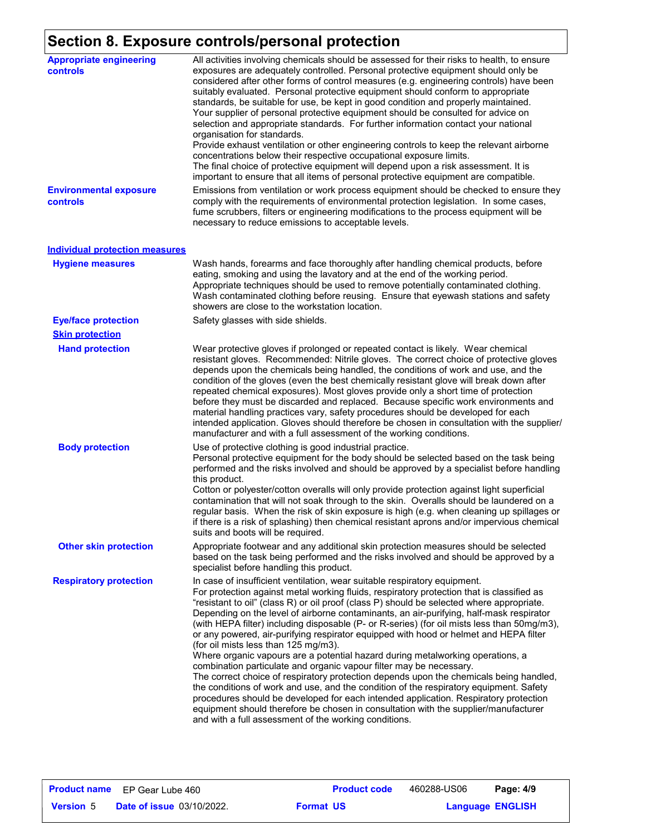# **Section 8. Exposure controls/personal protection**

| <b>Appropriate engineering</b><br>controls | All activities involving chemicals should be assessed for their risks to health, to ensure<br>exposures are adequately controlled. Personal protective equipment should only be<br>considered after other forms of control measures (e.g. engineering controls) have been<br>suitably evaluated. Personal protective equipment should conform to appropriate<br>standards, be suitable for use, be kept in good condition and properly maintained.<br>Your supplier of personal protective equipment should be consulted for advice on<br>selection and appropriate standards. For further information contact your national<br>organisation for standards.<br>Provide exhaust ventilation or other engineering controls to keep the relevant airborne<br>concentrations below their respective occupational exposure limits.<br>The final choice of protective equipment will depend upon a risk assessment. It is<br>important to ensure that all items of personal protective equipment are compatible.                                                                                                                                                                          |  |  |  |
|--------------------------------------------|-------------------------------------------------------------------------------------------------------------------------------------------------------------------------------------------------------------------------------------------------------------------------------------------------------------------------------------------------------------------------------------------------------------------------------------------------------------------------------------------------------------------------------------------------------------------------------------------------------------------------------------------------------------------------------------------------------------------------------------------------------------------------------------------------------------------------------------------------------------------------------------------------------------------------------------------------------------------------------------------------------------------------------------------------------------------------------------------------------------------------------------------------------------------------------------|--|--|--|
| <b>Environmental exposure</b><br>controls  | Emissions from ventilation or work process equipment should be checked to ensure they<br>comply with the requirements of environmental protection legislation. In some cases,<br>fume scrubbers, filters or engineering modifications to the process equipment will be<br>necessary to reduce emissions to acceptable levels.                                                                                                                                                                                                                                                                                                                                                                                                                                                                                                                                                                                                                                                                                                                                                                                                                                                       |  |  |  |
| <b>Individual protection measures</b>      |                                                                                                                                                                                                                                                                                                                                                                                                                                                                                                                                                                                                                                                                                                                                                                                                                                                                                                                                                                                                                                                                                                                                                                                     |  |  |  |
| <b>Hygiene measures</b>                    | Wash hands, forearms and face thoroughly after handling chemical products, before<br>eating, smoking and using the lavatory and at the end of the working period.<br>Appropriate techniques should be used to remove potentially contaminated clothing.<br>Wash contaminated clothing before reusing. Ensure that eyewash stations and safety<br>showers are close to the workstation location.                                                                                                                                                                                                                                                                                                                                                                                                                                                                                                                                                                                                                                                                                                                                                                                     |  |  |  |
| <b>Eye/face protection</b>                 | Safety glasses with side shields.                                                                                                                                                                                                                                                                                                                                                                                                                                                                                                                                                                                                                                                                                                                                                                                                                                                                                                                                                                                                                                                                                                                                                   |  |  |  |
| <b>Skin protection</b>                     |                                                                                                                                                                                                                                                                                                                                                                                                                                                                                                                                                                                                                                                                                                                                                                                                                                                                                                                                                                                                                                                                                                                                                                                     |  |  |  |
| <b>Hand protection</b>                     | Wear protective gloves if prolonged or repeated contact is likely. Wear chemical<br>resistant gloves. Recommended: Nitrile gloves. The correct choice of protective gloves<br>depends upon the chemicals being handled, the conditions of work and use, and the<br>condition of the gloves (even the best chemically resistant glove will break down after<br>repeated chemical exposures). Most gloves provide only a short time of protection<br>before they must be discarded and replaced. Because specific work environments and<br>material handling practices vary, safety procedures should be developed for each<br>intended application. Gloves should therefore be chosen in consultation with the supplier/<br>manufacturer and with a full assessment of the working conditions.                                                                                                                                                                                                                                                                                                                                                                                       |  |  |  |
| <b>Body protection</b>                     | Use of protective clothing is good industrial practice.<br>Personal protective equipment for the body should be selected based on the task being<br>performed and the risks involved and should be approved by a specialist before handling<br>this product.<br>Cotton or polyester/cotton overalls will only provide protection against light superficial<br>contamination that will not soak through to the skin. Overalls should be laundered on a<br>regular basis. When the risk of skin exposure is high (e.g. when cleaning up spillages or<br>if there is a risk of splashing) then chemical resistant aprons and/or impervious chemical<br>suits and boots will be required.                                                                                                                                                                                                                                                                                                                                                                                                                                                                                               |  |  |  |
| <b>Other skin protection</b>               | Appropriate footwear and any additional skin protection measures should be selected<br>based on the task being performed and the risks involved and should be approved by a<br>specialist before handling this product.                                                                                                                                                                                                                                                                                                                                                                                                                                                                                                                                                                                                                                                                                                                                                                                                                                                                                                                                                             |  |  |  |
| <b>Respiratory protection</b>              | In case of insufficient ventilation, wear suitable respiratory equipment.<br>For protection against metal working fluids, respiratory protection that is classified as<br>"resistant to oil" (class R) or oil proof (class P) should be selected where appropriate.<br>Depending on the level of airborne contaminants, an air-purifying, half-mask respirator<br>(with HEPA filter) including disposable (P- or R-series) (for oil mists less than 50mg/m3),<br>or any powered, air-purifying respirator equipped with hood or helmet and HEPA filter<br>(for oil mists less than 125 mg/m3).<br>Where organic vapours are a potential hazard during metalworking operations, a<br>combination particulate and organic vapour filter may be necessary.<br>The correct choice of respiratory protection depends upon the chemicals being handled,<br>the conditions of work and use, and the condition of the respiratory equipment. Safety<br>procedures should be developed for each intended application. Respiratory protection<br>equipment should therefore be chosen in consultation with the supplier/manufacturer<br>and with a full assessment of the working conditions. |  |  |  |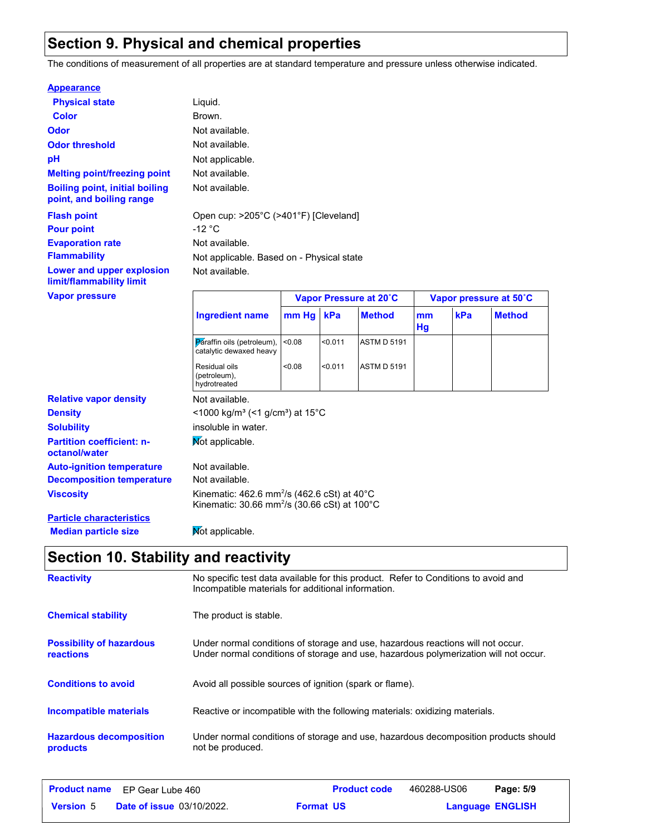# **Section 9. Physical and chemical properties**

The conditions of measurement of all properties are at standard temperature and pressure unless otherwise indicated.

#### **Appearance**

| <b>Physical state</b>                                             | Liquid.                                               |                                           |         |                    |          |                        |               |
|-------------------------------------------------------------------|-------------------------------------------------------|-------------------------------------------|---------|--------------------|----------|------------------------|---------------|
| <b>Color</b>                                                      | Brown.                                                |                                           |         |                    |          |                        |               |
| <b>Odor</b>                                                       | Not available.                                        |                                           |         |                    |          |                        |               |
| <b>Odor threshold</b>                                             | Not available.                                        |                                           |         |                    |          |                        |               |
| pH                                                                | Not applicable.                                       |                                           |         |                    |          |                        |               |
| <b>Melting point/freezing point</b>                               | Not available.                                        |                                           |         |                    |          |                        |               |
| <b>Boiling point, initial boiling</b><br>point, and boiling range | Not available.                                        |                                           |         |                    |          |                        |               |
| <b>Flash point</b>                                                | Open cup: >205°C (>401°F) [Cleveland]                 |                                           |         |                    |          |                        |               |
| <b>Pour point</b>                                                 | $-12 °C$                                              |                                           |         |                    |          |                        |               |
| <b>Evaporation rate</b>                                           | Not available.                                        |                                           |         |                    |          |                        |               |
| <b>Flammability</b>                                               |                                                       | Not applicable. Based on - Physical state |         |                    |          |                        |               |
| Lower and upper explosion<br>limit/flammability limit             | Not available.                                        |                                           |         |                    |          |                        |               |
| <b>Vapor pressure</b>                                             |                                                       | Vapor Pressure at 20°C                    |         |                    |          | Vapor pressure at 50°C |               |
|                                                                   | <b>Ingredient name</b>                                | mm Hg                                     | kPa     | <b>Method</b>      | mm<br>Hg | kPa                    | <b>Method</b> |
|                                                                   | Paraffin oils (petroleum),<br>catalytic dewaxed heavy | <0.08                                     | < 0.011 | <b>ASTM D 5191</b> |          |                        |               |
|                                                                   | Residual oils<br>(petroleum),<br>hydrotreated         | < 0.08                                    | < 0.011 | <b>ASTM D 5191</b> |          |                        |               |

|                                                   | hydrotreated                                                                                                                                |  |  |
|---------------------------------------------------|---------------------------------------------------------------------------------------------------------------------------------------------|--|--|
| <b>Relative vapor density</b>                     | Not available.                                                                                                                              |  |  |
| <b>Density</b>                                    | <1000 kg/m <sup>3</sup> (<1 g/cm <sup>3</sup> ) at 15 <sup>°</sup> C                                                                        |  |  |
| <b>Solubility</b>                                 | insoluble in water.                                                                                                                         |  |  |
| <b>Partition coefficient: n-</b><br>octanol/water | Mot applicable.                                                                                                                             |  |  |
| <b>Auto-ignition temperature</b>                  | Not available.                                                                                                                              |  |  |
| <b>Decomposition temperature</b>                  | Not available.                                                                                                                              |  |  |
| Viscosity                                         | Kinematic: 462.6 mm <sup>2</sup> /s (462.6 cSt) at 40 $^{\circ}$ C<br>Kinematic: $30.66$ mm <sup>2</sup> /s (30.66 cSt) at 100 $^{\circ}$ C |  |  |
| <b>Particle characteristics</b>                   |                                                                                                                                             |  |  |

**Median particle size** Not applicable.

# **Section 10. Stability and reactivity**

| <b>Reactivity</b>                                   | No specific test data available for this product. Refer to Conditions to avoid and<br>Incompatible materials for additional information.                                |
|-----------------------------------------------------|-------------------------------------------------------------------------------------------------------------------------------------------------------------------------|
| <b>Chemical stability</b>                           | The product is stable.                                                                                                                                                  |
| <b>Possibility of hazardous</b><br><b>reactions</b> | Under normal conditions of storage and use, hazardous reactions will not occur.<br>Under normal conditions of storage and use, hazardous polymerization will not occur. |
| <b>Conditions to avoid</b>                          | Avoid all possible sources of ignition (spark or flame).                                                                                                                |
| Incompatible materials                              | Reactive or incompatible with the following materials: oxidizing materials.                                                                                             |
| <b>Hazardous decomposition</b><br>products          | Under normal conditions of storage and use, hazardous decomposition products should<br>not be produced.                                                                 |

|                  | <b>Product name</b> EP Gear Lube 460 |                  | <b>Product code</b> | 460288-US06 | Page: 5/9               |
|------------------|--------------------------------------|------------------|---------------------|-------------|-------------------------|
| <b>Version 5</b> | <b>Date of issue 03/10/2022.</b>     | <b>Format US</b> |                     |             | <b>Language ENGLISH</b> |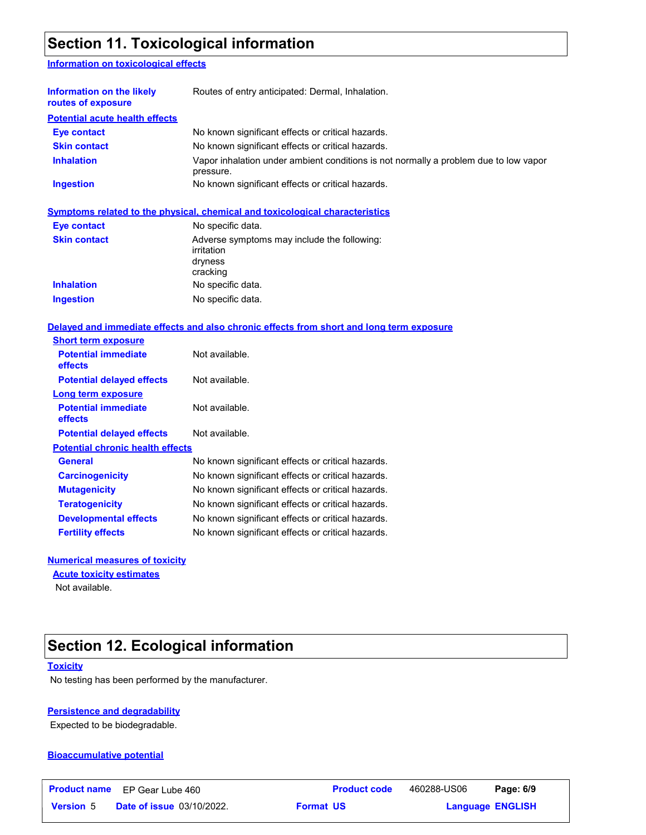# **Section 11. Toxicological information**

### **Information on toxicological effects**

| Information on the likely<br>routes of exposure | Routes of entry anticipated: Dermal, Inhalation.                                                  |
|-------------------------------------------------|---------------------------------------------------------------------------------------------------|
| <b>Potential acute health effects</b>           |                                                                                                   |
| Eye contact                                     | No known significant effects or critical hazards.                                                 |
| <b>Skin contact</b>                             | No known significant effects or critical hazards.                                                 |
| <b>Inhalation</b>                               | Vapor inhalation under ambient conditions is not normally a problem due to low vapor<br>pressure. |
| <b>Ingestion</b>                                | No known significant effects or critical hazards.                                                 |

|                     | Symptoms related to the physical, chemical and toxicological characteristics     |
|---------------------|----------------------------------------------------------------------------------|
| <b>Eye contact</b>  | No specific data.                                                                |
| <b>Skin contact</b> | Adverse symptoms may include the following:<br>irritation<br>dryness<br>cracking |
| <b>Inhalation</b>   | No specific data.                                                                |
| <b>Ingestion</b>    | No specific data.                                                                |

#### **Delayed and immediate effects and also chronic effects from short and long term exposure**

| <b>Short term exposure</b>              |                                                   |
|-----------------------------------------|---------------------------------------------------|
| <b>Potential immediate</b><br>effects   | Not available.                                    |
| <b>Potential delayed effects</b>        | Not available.                                    |
| Long term exposure                      |                                                   |
| <b>Potential immediate</b><br>effects   | Not available.                                    |
| <b>Potential delayed effects</b>        | Not available.                                    |
| <b>Potential chronic health effects</b> |                                                   |
| General                                 | No known significant effects or critical hazards. |
| <b>Carcinogenicity</b>                  | No known significant effects or critical hazards. |
| <b>Mutagenicity</b>                     | No known significant effects or critical hazards. |
| <b>Teratogenicity</b>                   | No known significant effects or critical hazards. |
| <b>Developmental effects</b>            | No known significant effects or critical hazards. |
| <b>Fertility effects</b>                | No known significant effects or critical hazards. |
|                                         |                                                   |

### **Numerical measures of toxicity**

**Acute toxicity estimates**

Not available.

# **Section 12. Ecological information**

#### **Toxicity**

No testing has been performed by the manufacturer.

### **Persistence and degradability**

Expected to be biodegradable.

### **Bioaccumulative potential**

|                  | <b>Product name</b> EP Gear Lube 460 | <b>Product code</b> | 460288-US06             | Page: 6/9 |  |
|------------------|--------------------------------------|---------------------|-------------------------|-----------|--|
| <b>Version 5</b> | <b>Date of issue 03/10/2022.</b>     | <b>Format US</b>    | <b>Language ENGLISH</b> |           |  |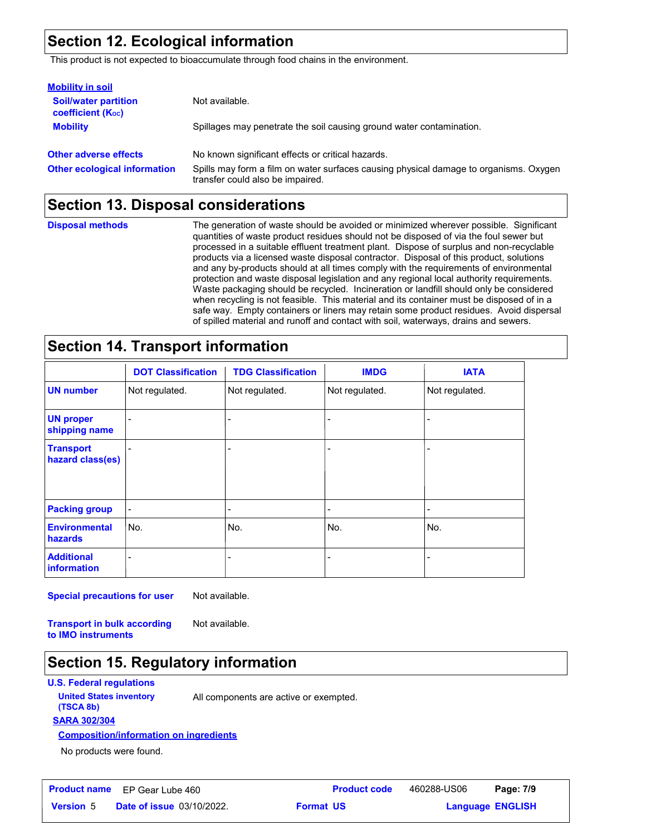### **Section 12. Ecological information**

This product is not expected to bioaccumulate through food chains in the environment.

| <b>Mobility in soil</b>                                 |                                                                                                                           |
|---------------------------------------------------------|---------------------------------------------------------------------------------------------------------------------------|
| <b>Soil/water partition</b><br><b>coefficient (Koc)</b> | Not available.                                                                                                            |
| <b>Mobility</b>                                         | Spillages may penetrate the soil causing ground water contamination.                                                      |
| <b>Other adverse effects</b>                            | No known significant effects or critical hazards.                                                                         |
| <b>Other ecological information</b>                     | Spills may form a film on water surfaces causing physical damage to organisms. Oxygen<br>transfer could also be impaired. |

### **Section 13. Disposal considerations**

**Disposal methods**

The generation of waste should be avoided or minimized wherever possible. Significant quantities of waste product residues should not be disposed of via the foul sewer but processed in a suitable effluent treatment plant. Dispose of surplus and non-recyclable products via a licensed waste disposal contractor. Disposal of this product, solutions and any by-products should at all times comply with the requirements of environmental protection and waste disposal legislation and any regional local authority requirements. Waste packaging should be recycled. Incineration or landfill should only be considered when recycling is not feasible. This material and its container must be disposed of in a safe way. Empty containers or liners may retain some product residues. Avoid dispersal of spilled material and runoff and contact with soil, waterways, drains and sewers.

### **Section 14. Transport information**

|                                      | <b>DOT Classification</b> | <b>TDG Classification</b> | <b>IMDG</b>    | <b>IATA</b>    |
|--------------------------------------|---------------------------|---------------------------|----------------|----------------|
| <b>UN number</b>                     | Not regulated.            | Not regulated.            | Not regulated. | Not regulated. |
| <b>UN proper</b><br>shipping name    |                           |                           |                |                |
| <b>Transport</b><br>hazard class(es) |                           |                           |                |                |
| <b>Packing group</b>                 |                           | ۰                         | -              |                |
| <b>Environmental</b><br>hazards      | No.                       | No.                       | No.            | No.            |
| <b>Additional</b><br>information     |                           |                           |                |                |

**Special precautions for user**

Not available.

**Transport in bulk according to IMO instruments**

Not available.

### **Section 15. Regulatory information**

### **U.S. Federal regulations**

**(TSCA 8b)**

**United States inventory** All components are active or exempted.

**SARA 302/304**

**Composition/information on ingredients**

No products were found.

|                  | <b>Product name</b> EP Gear Lube 460 | <b>Product code</b> | 460288-US06 | Page: 7/9               |  |
|------------------|--------------------------------------|---------------------|-------------|-------------------------|--|
| <b>Version 5</b> | <b>Date of issue 03/10/2022.</b>     | <b>Format US</b>    |             | <b>Language ENGLISH</b> |  |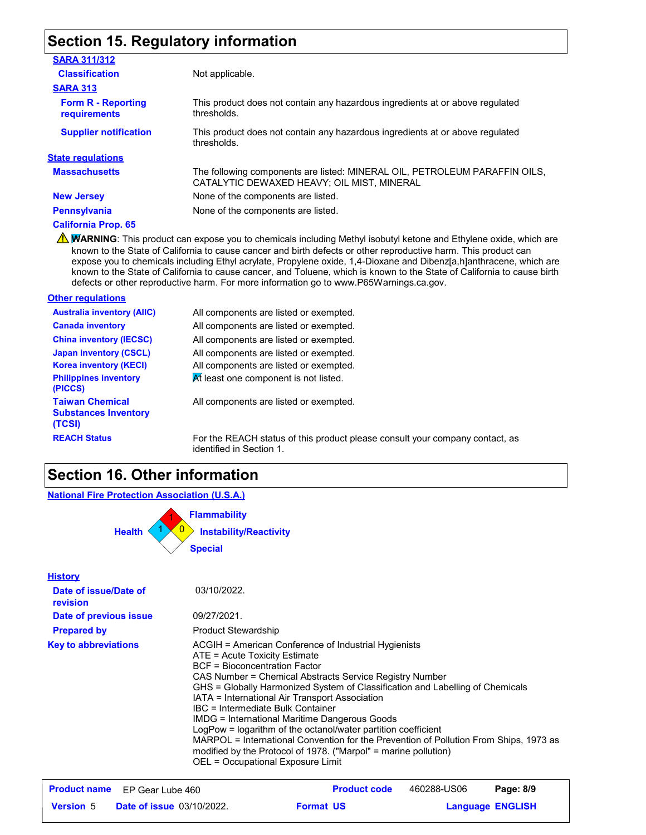### **Section 15. Regulatory information**

| <b>SARA 311/312</b>                              |                                                                                                                          |
|--------------------------------------------------|--------------------------------------------------------------------------------------------------------------------------|
| <b>Classification</b>                            | Not applicable.                                                                                                          |
| <b>SARA 313</b>                                  |                                                                                                                          |
| <b>Form R - Reporting</b><br><b>requirements</b> | This product does not contain any hazardous ingredients at or above regulated<br>thresholds.                             |
| <b>Supplier notification</b>                     | This product does not contain any hazardous ingredients at or above regulated<br>thresholds.                             |
| <b>State regulations</b>                         |                                                                                                                          |
| <b>Massachusetts</b>                             | The following components are listed: MINERAL OIL, PETROLEUM PARAFFIN OILS,<br>CATALYTIC DEWAXED HEAVY; OIL MIST, MINERAL |
| <b>New Jersey</b>                                | None of the components are listed.                                                                                       |
| Pennsylvania                                     | None of the components are listed.                                                                                       |
|                                                  |                                                                                                                          |

**California Prop. 65**

WARNING: This product can expose you to chemicals including Methyl isobutyl ketone and Ethylene oxide, which are known to the State of California to cause cancer and birth defects or other reproductive harm. This product can expose you to chemicals including Ethyl acrylate, Propylene oxide, 1,4-Dioxane and Dibenz[a,h]anthracene, which are known to the State of California to cause cancer, and Toluene, which is known to the State of California to cause birth defects or other reproductive harm. For more information go to www.P65Warnings.ca.gov.

#### **Other regulations**

| <b>Australia inventory (AIIC)</b>                               | All components are listed or exempted.      |
|-----------------------------------------------------------------|---------------------------------------------|
| <b>Canada inventory</b>                                         | All components are listed or exempted.      |
| <b>China inventory (IECSC)</b>                                  | All components are listed or exempted.      |
| <b>Japan inventory (CSCL)</b>                                   | All components are listed or exempted.      |
| <b>Korea inventory (KECI)</b>                                   | All components are listed or exempted.      |
| <b>Philippines inventory</b><br>(PICCS)                         | At least one component is not listed.       |
| <b>Taiwan Chemical</b><br><b>Substances Inventory</b><br>(TCSI) | All components are listed or exempted.      |
| <b>REACH Status</b>                                             | For the REACH status of this product please |

 $\operatorname{e}$ ase consult your company contact, as identified in Section 1.

### **Section 16. Other information**

**National Fire Protection Association (U.S.A.)**



|                  | <b>Product name</b> EP Gear Lube 460 |                  | <b>Product code</b> | 460288-US06 | Page: 8/9               |
|------------------|--------------------------------------|------------------|---------------------|-------------|-------------------------|
| <b>Version 5</b> | <b>Date of issue 03/10/2022.</b>     | <b>Format US</b> |                     |             | <b>Language ENGLISH</b> |